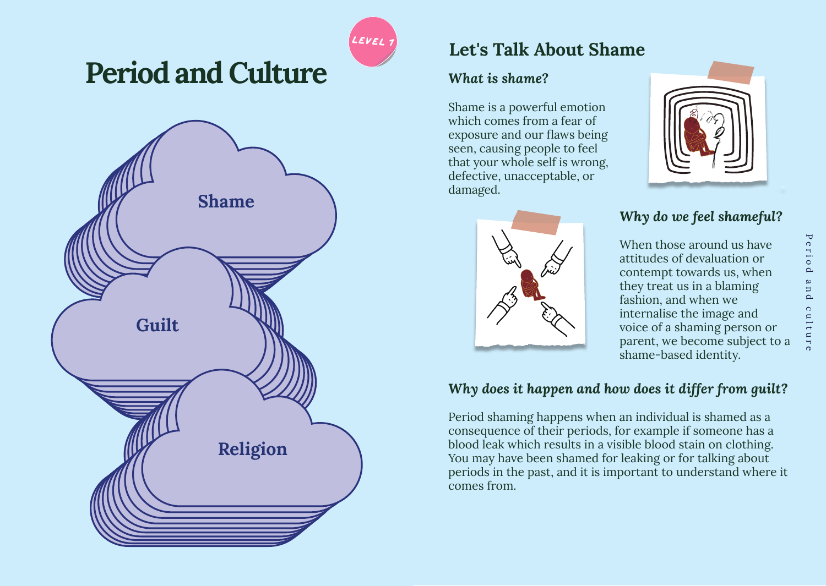

# **Period and Culture**



## **Let's Talk About Shame**

## *What is shame?*

Shame is a powerful emotion which comes from a fear of exposure and our flaws being seen, causing people to feel that your whole self is wrong, defective, unacceptable, or damaged.



## *Why do we feel shameful?*

When those around us have attitudes of devaluation or contempt towards us, when they treat us in a blaming fashion, and when we internalise the image and voice of a shaming person or parent, we become subject to a shame-based identity.

## *Why does it happen and how does it differ from guilt?*

Period shaming happens when an individual is shamed as a consequence of their periods, for example if someone has a blood leak which results in a visible blood stain on clothing. You may have been shamed for leaking or for talking about periods in the past, and it is important to understand where it comes from.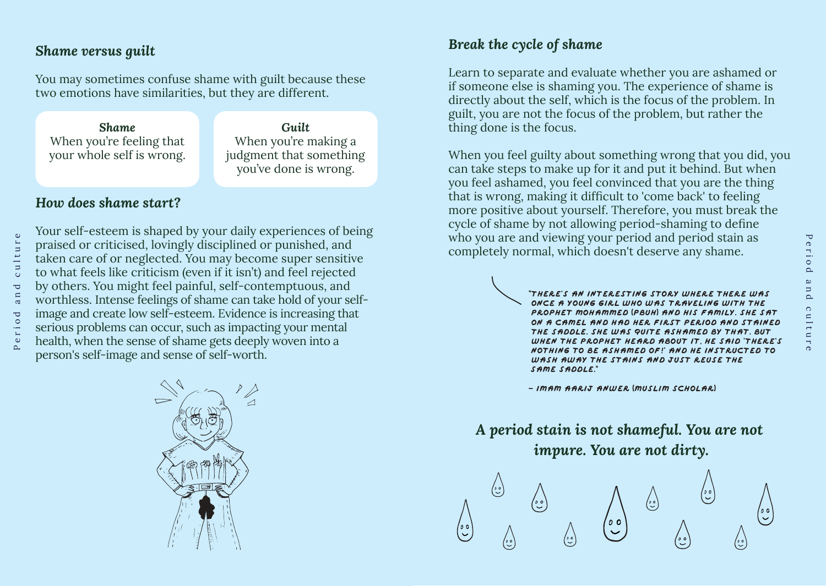## *Shame versus guilt*

You may sometimes confuse shame with guilt because these two emotions have similarities, but they are different.

*Shame*  When you're feeling that your whole self is wrong.

*Guilt*  When you're making a judgment that something you've done is wrong.

## *How does shame start?*

Your self-esteem is shaped by your daily experiences of being praised or criticised, lovingly disciplined or punished, and taken care of or neglected. You may become super sensitive to what feels like criticism (even if it isn't) and feel rejected by others. You might feel painful, self-contemptuous, and worthless. Intense feelings of shame can take hold of your selfimage and create low self-esteem. Evidence is increasing that serious problems can occur, such as impacting your mental health, when the sense of shame gets deeply woven into a person's self-image and sense of self-worth.

## *Break the cycle of shame*

Learn to separate and evaluate whether you are ashamed or if someone else is shaming you. The experience of shame is directly about the self, which is the focus of the problem. In guilt, you are not the focus of the problem, but rather the thing done is the focus.

When you feel guilty about something wrong that you did, you can take steps to make up for it and put it behind. But when you feel ashamed, you feel convinced that you are the thing that is wrong, making it difficult to 'come back' to feeling more positive about yourself. Therefore, you must break the cycle of shame by not allowing period-shaming to define who you are and viewing your period and period stain as completely normal, which doesn't deserve any shame.

> "**There's an interesting story where there was once a young girl who was traveling with the Prophet mOhammed** (**PBUH**) **and his family. She sat on a camel and had her first period and stained the saddle. She was quite ashamed by that. But when the Prophet heard about it, he said 'There's nothing to be ashamed of!' and he instructed to wash away the stains and just reuse the same saddle.**"

**- imam aarij anwer** (**muslim scholar**)

## *A period stain is not shameful. You are not impure. You are not dirty.*

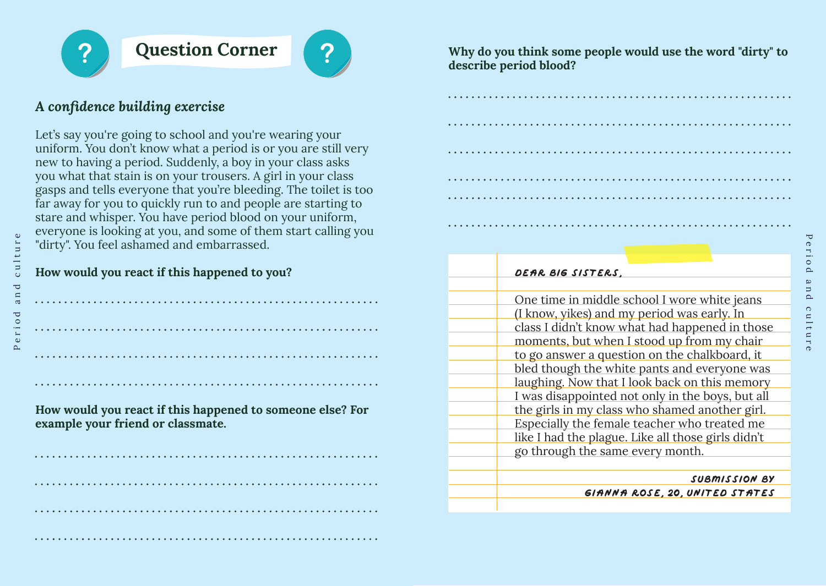

Period and culture

 $\mathbf{u}$ 

 $\epsilon$ 

ರ

 $\circ$ 

 $\overline{a}$  $\bullet$ 

 $\overline{\mathbf{C}}$ 

c u

ūr

## **Question Corner**



## *A confidence building exercise*

Let's say you're going to school and you're wearing your uniform. You don't know what a period is or you are still very new to having a period. Suddenly, a boy in your class asks you what that stain is on your trousers. A girl in your class gasps and tells everyone that you're bleeding. The toilet is too far away for you to quickly run to and people are starting to stare and whisper. You have period blood on your uniform, everyone is looking at you, and some of them start calling you "dirty". You feel ashamed and embarrassed.

### **How would you react if this happened to you?**

**How would you react if this happened to someone else? For example your friend or classmate.**

**Why do you think some people would use the word "dirty" to describe period blood?**

| DEAR BIG SISTERS.                                  |
|----------------------------------------------------|
|                                                    |
| One time in middle school I wore white jeans       |
| (I know, yikes) and my period was early. In        |
| class I didn't know what had happened in those     |
| moments, but when I stood up from my chair         |
| to go answer a question on the chalkboard, it      |
| bled though the white pants and everyone was       |
| laughing. Now that I look back on this memory      |
| I was disappointed not only in the boys, but all   |
| the girls in my class who shamed another girl.     |
| Especially the female teacher who treated me       |
| like I had the plague. Like all those girls didn't |
| go through the same every month.                   |
|                                                    |
| SUBMISSION BY                                      |

**Gianna Rose**, **20**, **United States**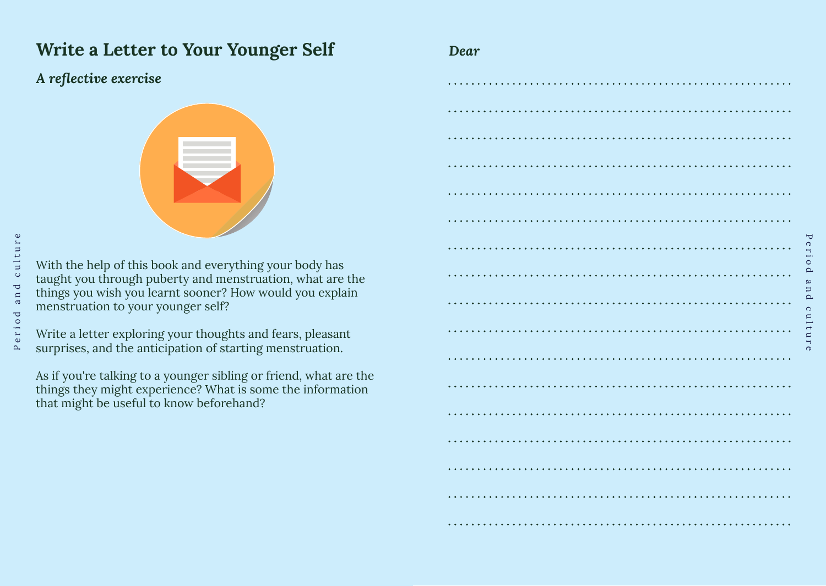## **Write a Letter to Your Younger Self** *Dear*

## *A reflective exercise*



With the help of this book and everything your body has taught you through puberty and menstruation, what are the things you wish you learnt sooner? How would you explain menstruation to your younger self?

Write a letter exploring your thoughts and fears, pleasant surprises, and the anticipation of starting menstruation.

As if you're talking to a younger sibling or friend, what are the things they might experience? What is some the information that might be useful to know beforehand?

| $\bullet$      |  |
|----------------|--|
|                |  |
| $\bullet$      |  |
|                |  |
|                |  |
|                |  |
| .              |  |
| $\bullet$<br>. |  |
|                |  |
| ٠              |  |
| .              |  |
|                |  |
|                |  |
| .              |  |
|                |  |
|                |  |

Period and culture

 $\circ$ 

ulture

 $\overline{\mathbf{U}}$ 

erio  $\simeq$ a n d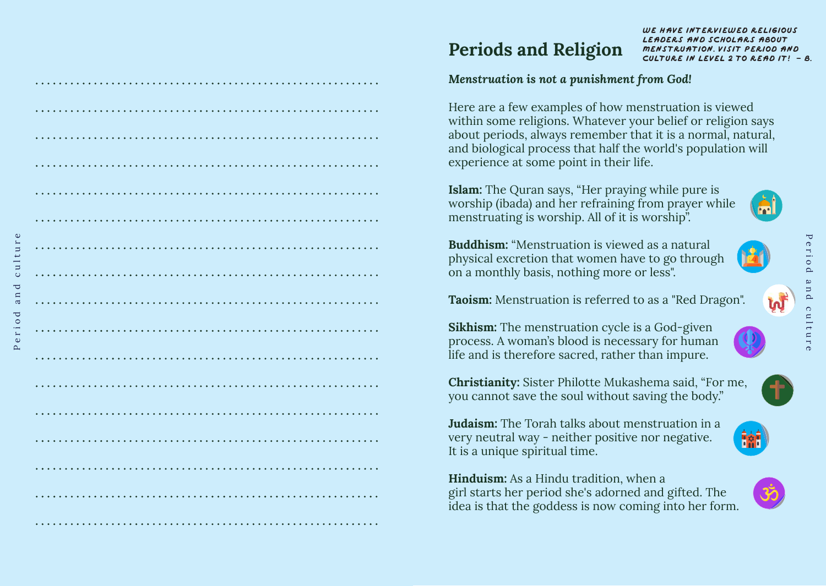# **Periods and Religion**

#### **We have interviewed religious leaders and scholars about menstruation. visit Period and Culture in Level 2 to read it! - B.**

#### *Menstruation is not a punishment from God!*

Here are a few examples of how menstruation is viewed within some religions. Whatever your belief or religion says about periods, always remember that it is a normal, natural, and biological process that half the world's population will experience at some point in their life.

**Islam:** The Quran says, "Her praying while pure is worship (ibada) and her refraining from prayer while menstruating is worship. All of it is worship".

**Buddhism:** "Menstruation is viewed as a natural physical excretion that women have to go through on a monthly basis, nothing more or less".

**Taoism:** Menstruation is referred to as a "Red Dragon".

**Sikhism:** The menstruation cycle is a God-given process. A woman's blood is necessary for human life and is therefore sacred, rather than impure.

**Christianity:** Sister Philotte Mukashema said, "For me, you cannot save the soul without saving the body."

**Judaism:** The Torah talks about menstruation in a very neutral way - neither positive nor negative. It is a unique spiritual time.

**Hinduism:** As a Hindu tradition, when a girl starts her period she's adorned and gifted. The idea is that the goddess is now coming into her form.







Period and culture

 $\mathbf{a}$  $\epsilon$ 

riod  $\omega$  $\sim$ 

 $\overline{\mathbf{C}}$ 

Ē  $\circ$ 

ure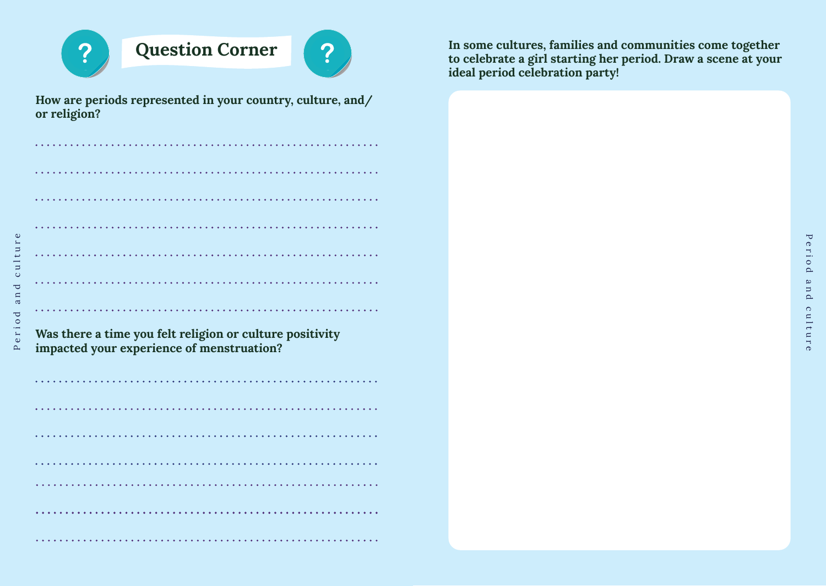

Period and culture

eriod

 $\sim$ 

and

culture

## **Question Corner**



**How are periods represented in your country, culture, and/ or religion?**

| $\cdots$ |  |
|----------|--|
|          |  |
|          |  |
|          |  |
|          |  |
|          |  |
|          |  |
|          |  |

**Was there a time you felt religion or culture positivity impacted your experience of menstruation?**

**In some cultures, families and communities come together to celebrate a girl starting her period. Draw a scene at your ideal period celebration party!**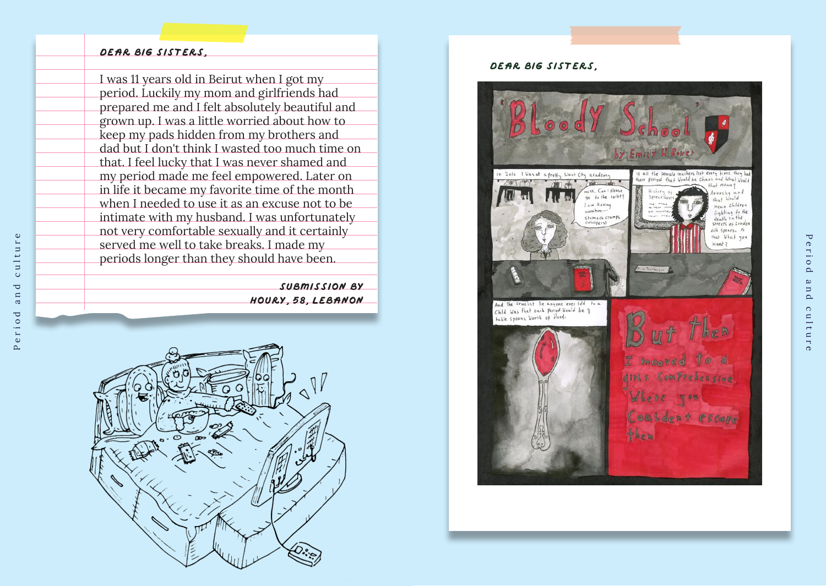#### **Dear Big Sisters**,

Period and culture

 $\mathbf{u}$ 

 $\mathbf a$ 

 $\circ$ 

eri

 $\sim$ 

 $\overline{\mathbf{C}}$ 

စ်

 $r e$ 

E  $u$ lt

I was 11 years old in Beirut when I got my period. Luckily my mom and girlfriends had prepared me and I felt absolutely beautiful and grown up. I was a little worried about how to keep my pads hidden from my brothers and dad but I don't think I wasted too much time on that. I feel lucky that I was never shamed and my period made me feel empowered. Later on in life it became my favorite time of the month when I needed to use it as an excuse not to be intimate with my husband. I was unfortunately not very comfortable sexually and it certainly served me well to take breaks. I made my periods longer than they should have been.

> **Submission by Houry**, **58**, **Lebanon**



#### **Dear big sisterS**,



 $\overline{\mathbf{U}}$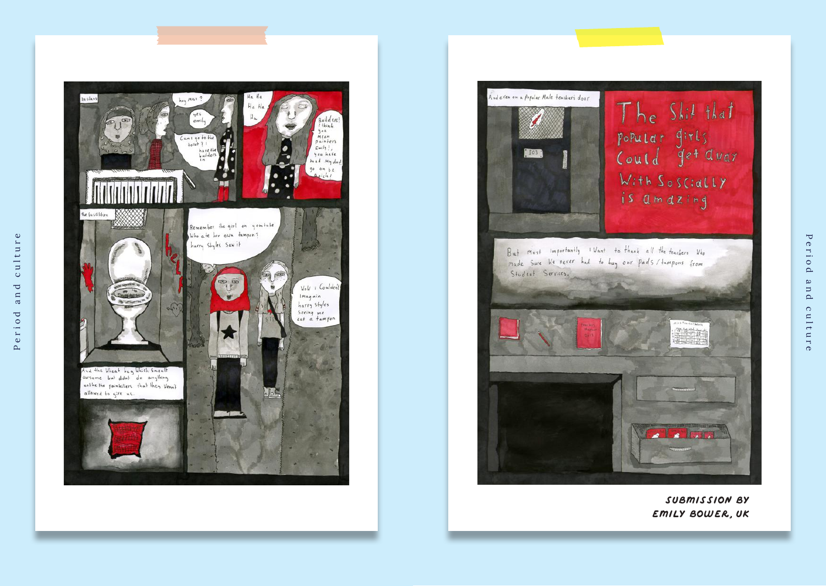



**Submission by emily Bower**, **UK**

Period and culture

 $\circ$ 

ulture

and

 $\blacktriangledown$ 

erio

 $\Delta$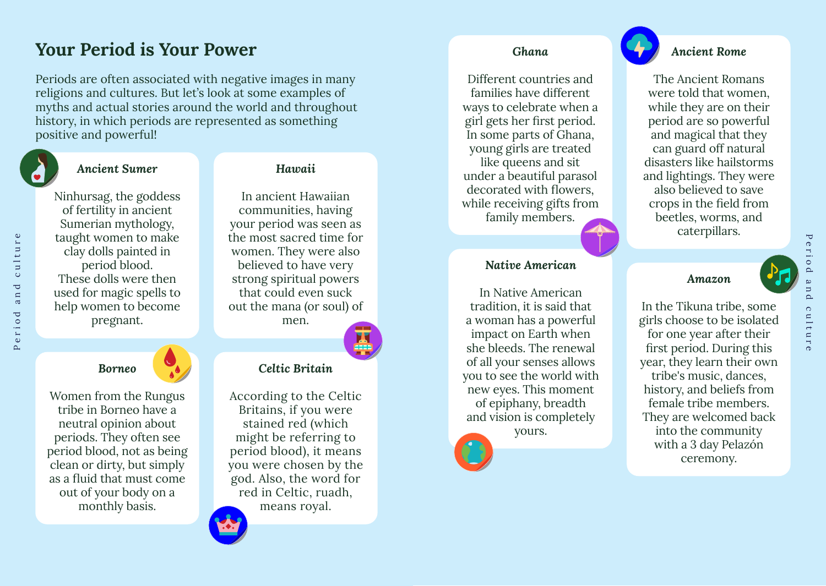## **Your Period is Your Power**

Periods are often associated with negative images in many religions and cultures. But let's look at some examples of myths and actual stories around the world and throughout history, in which periods are represented as something positive and powerful!



Period and culture

and

eriod

 $\Delta$ 

culture

### *Ancient Sumer*

Ninhursag, the goddess of fertility in ancient Sumerian mythology, taught women to make clay dolls painted in period blood. These dolls were then used for magic spells to help women to become pregnant.

## *Hawaii*

In ancient Hawaiian communities, having your period was seen as the most sacred time for women. They were also believed to have very strong spiritual powers that could even suck out the mana (or soul) of men.

## *Borneo*

Women from the Rungus tribe in Borneo have a neutral opinion about periods. They often see period blood, not as being clean or dirty, but simply as a fluid that must come out of your body on a monthly basis.

### *Celtic Britain*

According to the Celtic Britains, if you were stained red (which might be referring to period blood), it means you were chosen by the god. Also, the word for red in Celtic, ruadh, means royal.

#### *Ghana*

Different countries and families have different ways to celebrate when a girl gets her first period. In some parts of Ghana, young girls are treated like queens and sit under a beautiful parasol decorated with flowers, while receiving gifts from family members.

#### *Native American*

In Native American tradition, it is said that a woman has a powerful impact on Earth when she bleeds. The renewal of all your senses allows you to see the world with new eyes. This moment of epiphany, breadth and vision is completely yours.



#### *Ancient Rome*

The Ancient Romans were told that women, while they are on their period are so powerful and magical that they can guard off natural disasters like hailstorms and lightings. They were also believed to save crops in the field from beetles, worms, and caterpillars.

#### *Amazon*

In the Tikuna tribe, some girls choose to be isolated for one year after their first period. During this year, they learn their own tribe's music, dances, history, and beliefs from female tribe members. They are welcomed back into the community with a 3 day Pelazón ceremony.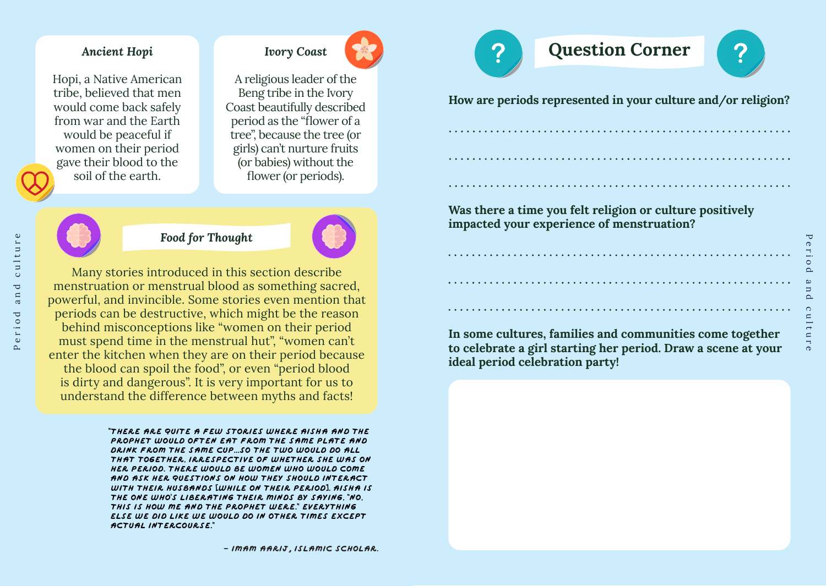#### *Ancient Hopi*

Hopi, a Native American tribe, believed that men would come back safely from war and the Earth would be peaceful if women on their period gave their blood to the soil of the earth.

A religious leader of the Beng tribe in the Ivory Coast beautifully described period as the "flower of a tree", because the tree (or girls) can't nurture fruits (or babies) without the flower (or periods).



Period and culture

a n

eriod

 $\overline{\mathbf{C}}$ 

culture

## *Food for Thought*



Many stories introduced in this section describe menstruation or menstrual blood as something sacred, powerful, and invincible. Some stories even mention that periods can be destructive, which might be the reason behind misconceptions like "women on their period must spend time in the menstrual hut", "women can't enter the kitchen when they are on their period because the blood can spoil the food", or even "period blood is dirty and dangerous". It is very important for us to understand the difference between myths and facts!

> "**There are quite a few stories where Aisha and the Prophet would often eat from the same plate and drink from the same cup...So the two would do all that together, irrespective of whether she was on her period. There would be women who would come and ask her questions on how they should interact with their husbands** [**while on their period**]**. Aisha is the one who**'**s liberating their minds by saying,** "**No, this is how me and the Prophet were.**" **Everything else we did like we would do in other times except actual intercourse.**"

# *Ivory Coast* **Question Corner**



 $\overline{\mathbf{r}}$ 

**In some cultures, families and communities come together to celebrate a girl starting her period. Draw a scene at your ideal period celebration party!**